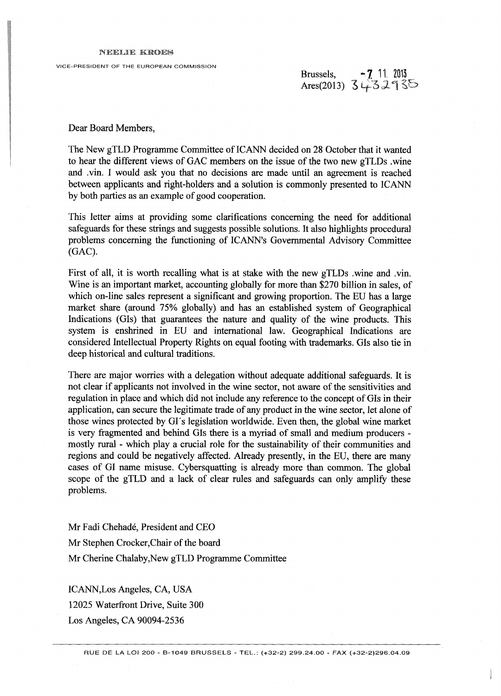## NEELIE KROES

VICE-PRESIDENT OF THE EUROPEAN COMMISSION

Brussels, -7 11 2013 Ares(2013)

Dear Board Members,

The New gTLD Programme Committee of ICANN decided on 28 October that it wanted to hear the different views of GAC members on the issue of the two new gTLDs .wine and .vin. I would ask you that no decisions are made until an agreement is reached between applicants and right-holders and a solution is commonly presented to ICANN by both parties as an example of good cooperation.

This letter aims at providing some clarifications concerning the need for additional safeguards for these strings and suggests possible solutions. It also highlights procedural problems concerning the functioning of ICANN'S Governmental Advisory Committee (GAC).

First of all, it is worth recalling what is at stake with the new gTLDs .wine and .vin. Wine is an important market, accounting globally for more than \$270 billion in sales, of which on-line sales represent a significant and growing proportion. The EU has a large market share (around 75% globally) and has an established system of Geographical Indications (GIs) that guarantees the nature and quality of the wine products. This system is enshrined in EU and international law. Geographical Indications are considered Intellectual Property Rights on equal footing with trademarks. GIs also tie in deep historical and cultural traditions.

There are major worries with a delegation without adequate additional safeguards. It is not clear if applicants not involved in the wine sector, not aware of the sensitivities and regulation in place and which did not include any reference to the concept of GIs in their application, can secure the legitimate trade of any product in the wine sector, let alone of those wines protected by Gľs legislation worldwide. Even then, the global wine market is very fragmented and behind GIs there is a myriad of small and medium producers mostly rural - which play a crucial role for the sustainability of their communities and regions and could be negatively affected. Already presently, in the EU, there are many cases of GI name misuse. Cybersquatting is already more than common. The global scope of the gTLD and a lack of clear rules and safeguards can only amplify these problems.

Mr Fadi Chehadé, President and CEO Mr Stephen Crocker,Chair of the board Mr Cherine Chalaby,New gTLD Programme Committee

ICANN,Los Angeles, CA, USA 12025 Waterfront Drive, Suite 300 Los Angeles, CA 90094-2536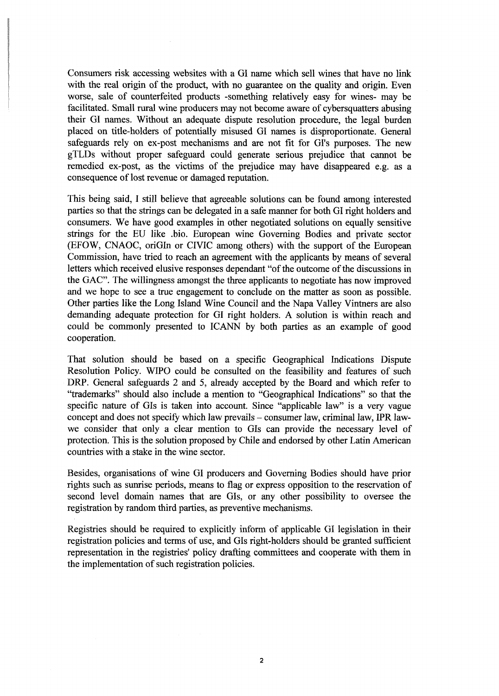Consumers risk accessing websites with a GI name which sell wines that have no link with the real origin of the product, with no guarantee on the quality and origin. Even worse, sale of counterfeited products -something relatively easy for wines- may be facilitated. Small rural wine producers may not become aware of cybersquatters abusing their GI names. Without an adequate dispute resolution procedure, the legal burden placed on title-holders of potentially misused GI names is disproportionate. General safeguards rely on ex-post mechanisms and are not fit for GI's purposes. The new gTLDs without proper safeguard could generate serious prejudice that cannot be remedied ex-post, as the victims of the prejudice may have disappeared e.g. as a consequence of lost revenue or damaged reputation.

This being said, I still believe that agreeable solutions can be found among interested parties so that the strings can be delegated in a safe manner for both GI right holders and consumers. We have good examples in other negotiated solutions on equally sensitive strings for the EU like .bio. European wine Governing Bodies and private sector (EFOW, CNAOC, oriGIn or CIVIC among others) with the support of the European Commission, have tried to reach an agreement with the applicants by means of several letters which received elusive responses dependant "of the outcome of the discussions in the GAC". The willingness amongst the three applicants to negotiate has now improved and we hope to see a true engagement to conclude on the matter as soon as possible. Other parties like the Long Island Wine Council and the Napa Valley Vintners are also demanding adequate protection for GI right holders. A solution is within reach and could be commonly presented to ICANN by both parties as an example of good cooperation.

That solution should be based on a specific Geographical Indications Dispute Resolution Policy. WIPO could be consulted on the feasibility and features of such DRP. General safeguards 2 and 5, already accepted by the Board and which refer to "trademarks" should also include a mention to "Geographical Indications" so that the specific nature of GIs is taken into account. Since "applicable law" is a very vague concept and does not specify which law prevails - consumer law, criminal law, IPR lawwe consider that only a clear mention to GIs can provide the necessary level of protection. This is the solution proposed by Chile and endorsed by other Latin American countries with a stake in the wine sector.

Besides, organisations of wine GI producers and Governing Bodies should have prior rights such as sunrise periods, means to flag or express opposition to the reservation of second level domain names that are GIs, or any other possibility to oversee the registration by random third parties, as preventive mechanisms.

Registries should be required to explicitly inform of applicable GI legislation in their registration policies and terms of use, and GIs right-holders should be granted sufficient representation in the registries' policy drafting committees and cooperate with them in the implementation of such registration policies.